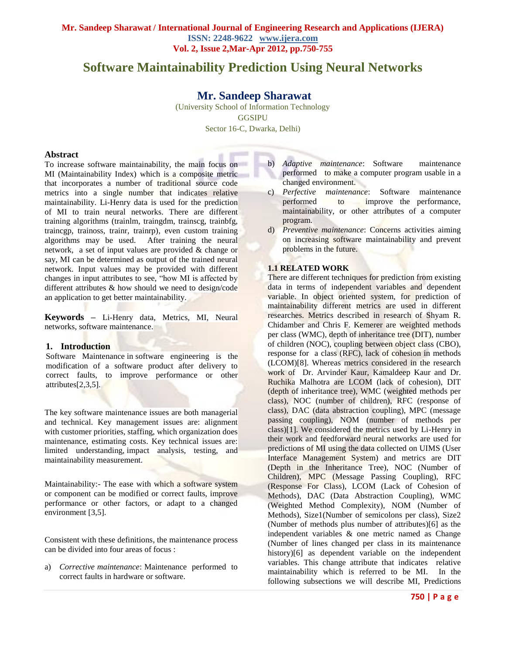# **Software Maintainability Prediction Using Neural Networks**

# **Mr. Sandeep Sharawat**

(University School of Information Technology GGSIPU Sector 16-C, Dwarka, Delhi)

### **Abstract**

To increase software maintainability, the main focus on MI (Maintainability Index) which is a composite metric that incorporates a number of traditional source code metrics into a single number that indicates relative maintainability. Li-Henry data is used for the prediction of MI to train neural networks. There are different training algorithms (trainlm, traingdm, trainscg, trainbfg, traincgp, trainoss, trainr, trainrp), even custom training algorithms may be used. After training the neural network, a set of input values are provided & change or say, MI can be determined as output of the trained neural network. Input values may be provided with different changes in input attributes to see, "how MI is affected by different attributes & how should we need to design/code an application to get better maintainability.

**Keywords –** Li-Henry data, Metrics, MI, Neural networks, software maintenance.

#### **1. Introduction**

Software Maintenance in software engineering is the modification of a software product after delivery to correct faults, to improve performance or other attributes[2,3,5].

The key software maintenance issues are both managerial and technical. Key management issues are: alignment with customer priorities, staffing, which organization does maintenance, estimating costs. Key technical issues are: limited understanding, impact analysis, testing, and maintainability measurement.

Maintainability:- The ease with which a software system or component can be modified or correct faults, improve performance or other factors, or adapt to a changed environment [3,5].

Consistent with these definitions, the maintenance process can be divided into four areas of focus :

a) *Corrective maintenance*: Maintenance performed to correct faults in hardware or software.

- b) *Adaptive maintenance*: Software maintenance performed to make a computer program usable in a changed environment.
- c) *Perfective maintenance*: Software maintenance performed to improve the performance, maintainability, or other attributes of a computer program.
- d) *Preventive maintenance*: Concerns activities aiming on increasing software maintainability and prevent problems in the future.

## **1.1 RELATED WORK**

There are different techniques for prediction from existing data in terms of independent variables and dependent variable. In object oriented system, for prediction of maintainability different metrics are used in different researches. Metrics described in research of Shyam R. Chidamber and Chris F. Kemerer are weighted methods per class (WMC), depth of inheritance tree (DIT), number of children (NOC), coupling between object class (CBO), response for a class (RFC), lack of cohesion in methods (LCOM)[8]. Whereas metrics considered in the research work of Dr. Arvinder Kaur, Kamaldeep Kaur and Dr. Ruchika Malhotra are LCOM (lack of cohesion), DIT (depth of inheritance tree), WMC (weighted methods per class), NOC (number of children), RFC (response of class), DAC (data abstraction coupling), MPC (message passing coupling), NOM (number of methods per class)[1]. We considered the metrics used by Li-Henry in their work and feedforward neural networks are used for predictions of MI using the data collected on UIMS (User Interface Management System) and metrics are DIT (Depth in the Inheritance Tree), NOC (Number of Children), MPC (Message Passing Coupling), RFC (Response For Class), LCOM (Lack of Cohesion of Methods), DAC (Data Abstraction Coupling), WMC (Weighted Method Complexity), NOM (Number of Methods), Size1(Number of semicolons per class), Size2 (Number of methods plus number of attributes)[6] as the independent variables & one metric named as Change (Number of lines changed per class in its maintenance history)[6] as dependent variable on the independent variables. This change attribute that indicates relative maintainability which is referred to be MI. In the following subsections we will describe MI, Predictions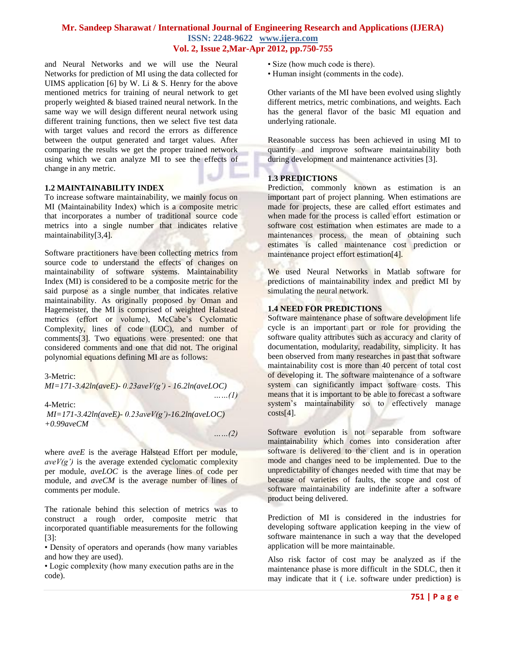and Neural Networks and we will use the Neural Networks for prediction of MI using the data collected for UIMS application [6] by W. Li  $&$  S. Henry for the above mentioned metrics for training of neural network to get properly weighted & biased trained neural network. In the same way we will design different neural network using different training functions, then we select five test data with target values and record the errors as difference between the output generated and target values. After comparing the results we get the proper trained network using which we can analyze MI to see the effects of change in any metric.

#### **1.2 MAINTAINABILITY INDEX**

To increase software maintainability, we mainly focus on MI (Maintainability Index) which is a composite metric that incorporates a number of traditional source code metrics into a single number that indicates relative maintainability[3,4].

Software practitioners have been collecting metrics from source code to understand the effects of changes on maintainability of software systems. Maintainability Index (MI) is considered to be a composite metric for the said purpose as a single number that indicates relative maintainability. As originally proposed by Oman and Hagemeister, the MI is comprised of weighted Halstead metrics (effort or volume), McCabe's Cyclomatic Complexity, lines of code (LOC), and number of comments[3]. Two equations were presented: one that considered comments and one that did not. The original polynomial equations defining MI are as follows:

#### 3-Metric:

*MI=171-3.42ln(aveE)- 0.23aveV(g') - 16.2ln(aveLOC)*

4-Metric:

*MI=171-3.42ln(aveE)- 0.23aveV(g')-16.2ln(aveLOC) +0.99aveCM*

*……(2)*

*……(1)*

where *aveE* is the average Halstead Effort per module,  $aveV(g')$  is the average extended cyclomatic complexity per module, *aveLOC* is the average lines of code per module, and *aveCM* is the average number of lines of comments per module.

The rationale behind this selection of metrics was to construct a rough order, composite metric that incorporated quantifiable measurements for the following [3]:

• Density of operators and operands (how many variables and how they are used).

• Logic complexity (how many execution paths are in the code).

- Size (how much code is there).
- Human insight (comments in the code).

Other variants of the MI have been evolved using slightly different metrics, metric combinations, and weights. Each has the general flavor of the basic MI equation and underlying rationale.

Reasonable success has been achieved in using MI to quantify and improve software maintainability both during development and maintenance activities [3].

#### **1.3 PREDICTIONS**

Prediction, commonly known as estimation is an important part of project planning. When estimations are made for projects, these are called effort estimates and when made for the process is called effort estimation or software cost estimation when estimates are made to a maintenances process, the mean of obtaining such estimates is called maintenance cost prediction or maintenance project effort estimation[4].

We used Neural Networks in Matlab software for predictions of maintainability index and predict MI by simulating the neural network.

## **1.4 NEED FOR PREDICTIONS**

Software maintenance phase of software development life cycle is an important part or role for providing the software quality attributes such as accuracy and clarity of documentation, modularity, readability, simplicity. It has been observed from many researches in past that software maintainability cost is more than 40 percent of total cost of developing it. The software maintenance of a software system can significantly impact software costs. This means that it is important to be able to forecast a software system's maintainability so to effectively manage  $costs[4]$ .

Software evolution is not separable from software maintainability which comes into consideration after software is delivered to the client and is in operation mode and changes need to be implemented. Due to the unpredictability of changes needed with time that may be because of varieties of faults, the scope and cost of software maintainability are indefinite after a software product being delivered.

Prediction of MI is considered in the industries for developing software application keeping in the view of software maintenance in such a way that the developed application will be more maintainable.

Also risk factor of cost may be analyzed as if the maintenance phase is more difficult in the SDLC, then it may indicate that it ( i.e. software under prediction) is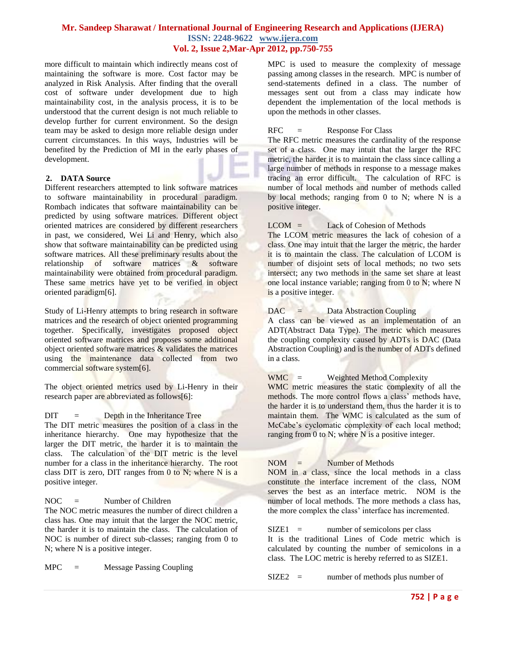more difficult to maintain which indirectly means cost of maintaining the software is more. Cost factor may be analyzed in Risk Analysis. After finding that the overall cost of software under development due to high maintainability cost, in the analysis process, it is to be understood that the current design is not much reliable to develop further for current environment. So the design team may be asked to design more reliable design under current circumstances. In this ways, Industries will be benefited by the Prediction of MI in the early phases of development.

#### **2. DATA Source**

Different researchers attempted to link software matrices to software maintainability in procedural paradigm. Rombach indicates that software maintainability can be predicted by using software matrices. Different object oriented matrices are considered by different researchers in past, we considered, Wei Li and Henry, which also show that software maintainability can be predicted using software matrices. All these preliminary results about the relationship of software matrices & software maintainability were obtained from procedural paradigm. These same metrics have yet to be verified in object oriented paradigm[6].

Study of Li-Henry attempts to bring research in software matrices and the research of object oriented programming together. Specifically, investigates proposed object oriented software matrices and proposes some additional object oriented software matrices & validates the matrices using the maintenance data collected from two commercial software system[6].

The object oriented metrics used by Li-Henry in their research paper are abbreviated as follows[6]:

#### $\text{DIT}$  = Depth in the Inheritance Tree

The DIT metric measures the position of a class in the inheritance hierarchy. One may hypothesize that the larger the DIT metric, the harder it is to maintain the class. The calculation of the DIT metric is the level number for a class in the inheritance hierarchy. The root class DIT is zero, DIT ranges from  $0$  to N; where N is a positive integer.

 $NOC =$  Number of Children

The NOC metric measures the number of direct children a class has. One may intuit that the larger the NOC metric, the harder it is to maintain the class. The calculation of NOC is number of direct sub-classes; ranging from 0 to N; where N is a positive integer.

MPC = Message Passing Coupling

MPC is used to measure the complexity of message passing among classes in the research. MPC is number of send-statements defined in a class. The number of messages sent out from a class may indicate how dependent the implementation of the local methods is upon the methods in other classes.

#### $RFC =$  Response For Class

The RFC metric measures the cardinality of the response set of a class. One may intuit that the larger the RFC metric, the harder it is to maintain the class since calling a large number of methods in response to a message makes tracing an error difficult. The calculation of RFC is number of local methods and number of methods called by local methods; ranging from 0 to N; where N is a positive integer.

## $LCOM =$  Lack of Cohesion of Methods

The LCOM metric measures the lack of cohesion of a class. One may intuit that the larger the metric, the harder it is to maintain the class. The calculation of LCOM is number of disjoint sets of local methods; no two sets intersect; any two methods in the same set share at least one local instance variable; ranging from 0 to N; where N is a positive integer.

## DAC = Data Abstraction Coupling

A class can be viewed as an implementation of an ADT(Abstract Data Type). The metric which measures the coupling complexity caused by ADTs is DAC (Data Abstraction Coupling) and is the number of ADTs defined in a class.

WMC = Weighted Method Complexity

WMC metric measures the static complexity of all the methods. The more control flows a class' methods have, the harder it is to understand them, thus the harder it is to maintain them. The WMC is calculated as the sum of McCabe's cyclomatic complexity of each local method; ranging from 0 to N; where N is a positive integer.

## $NOM =$  Number of Methods

NOM in a class, since the local methods in a class constitute the interface increment of the class, NOM serves the best as an interface metric. NOM is the number of local methods. The more methods a class has, the more complex the class' interface has incremented.

 $SIZE1 =$  number of semicolons per class It is the traditional Lines of Code metric which is calculated by counting the number of semicolons in a class. The LOC metric is hereby referred to as SIZE1.

SIZE2 = number of methods plus number of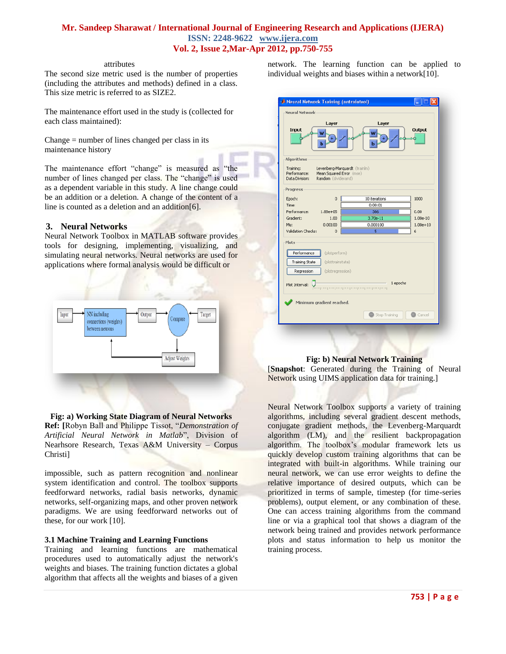### attributes

The second size metric used is the number of properties (including the attributes and methods) defined in a class. This size metric is referred to as SIZE2.

The maintenance effort used in the study is (collected for each class maintained):

Change = number of lines changed per class in its maintenance history

The maintenance effort "change" is measured as "the number of lines changed per class. The "change" is used as a dependent variable in this study. A line change could be an addition or a deletion. A change of the content of a line is counted as a deletion and an addition[6].

## **3. Neural Networks**

Neural Network Toolbox in MATLAB software provides tools for designing, implementing, visualizing, and simulating neural networks. Neural networks are used for applications where formal analysis would be difficult or



# **Fig: a) Working State Diagram of Neural Networks**

**Ref: [**Robyn Ball and Philippe Tissot, "*Demonstration of Artificial Neural Network in Matlab*", Division of Nearhsore Research, Texas A&M University – Corpus Christi]

impossible, such as pattern recognition and nonlinear system identification and control. The toolbox supports feedforward networks, radial basis networks, dynamic networks, self-organizing maps, and other proven network paradigms. We are using feedforward networks out of these, for our work [10].

## **3.1 Machine Training and Learning Functions**

Training and learning functions are mathematical procedures used to automatically adjust the network's weights and biases. The training function dictates a global algorithm that affects all the weights and biases of a given

network. The learning function can be applied to individual weights and biases within a network[10].

|                                             | Layer                                                                            | Layer                              |               |
|---------------------------------------------|----------------------------------------------------------------------------------|------------------------------------|---------------|
| Input<br>W<br>b                             |                                                                                  | W<br>b                             | <b>Output</b> |
| Algorithms                                  |                                                                                  |                                    |               |
| Training:<br>Performance:<br>Data Division: | Levenberg-Marquardt (trainlm)<br>Mean Squared Error (mse)<br>Random (dividerand) |                                    |               |
| Progress                                    |                                                                                  |                                    |               |
| Epoch:                                      | $\overline{0}$                                                                   | 10 iterations                      | 1000          |
| Time:                                       |                                                                                  | 0:00:01                            |               |
| Performance:                                | $1.88e + 05$                                                                     | 386                                | 0.00          |
| Gradient:                                   | 1.00                                                                             | $3.70e-11$                         | $1.00e-10$    |
| Mu:                                         | 0.00100                                                                          | 0.000100                           | $1.00e + 10$  |
| Validation Checks:                          | $\overline{0}$                                                                   | $\overline{\mathbf{s}}$            | 6             |
| Plots                                       |                                                                                  |                                    |               |
| Performance                                 | (plotperform)                                                                    |                                    |               |
|                                             |                                                                                  |                                    |               |
| <b>Training State</b>                       | (plottrainstate)                                                                 |                                    |               |
| Regression                                  | (plotregression)                                                                 |                                    |               |
| Plot Interval:                              |                                                                                  | propogan propogangang na pagangang | 1 epochs      |
|                                             | Minimum gradient reached.                                                        |                                    |               |

## **Fig: b) Neural Network Training**

[**Snapshot**: Generated during the Training of Neural Network using UIMS application data for training.]

Neural Network Toolbox supports a variety of training algorithms, including several gradient descent methods, conjugate gradient methods, the Levenberg-Marquardt algorithm (LM), and the resilient backpropagation algorithm. The toolbox's modular framework lets us quickly develop custom training algorithms that can be integrated with built-in algorithms. While training our neural network, we can use error weights to define the relative importance of desired outputs, which can be prioritized in terms of sample, timestep (for time-series problems), output element, or any combination of these. One can access training algorithms from the command line or via a graphical tool that shows a diagram of the network being trained and provides network performance plots and status information to help us monitor the training process.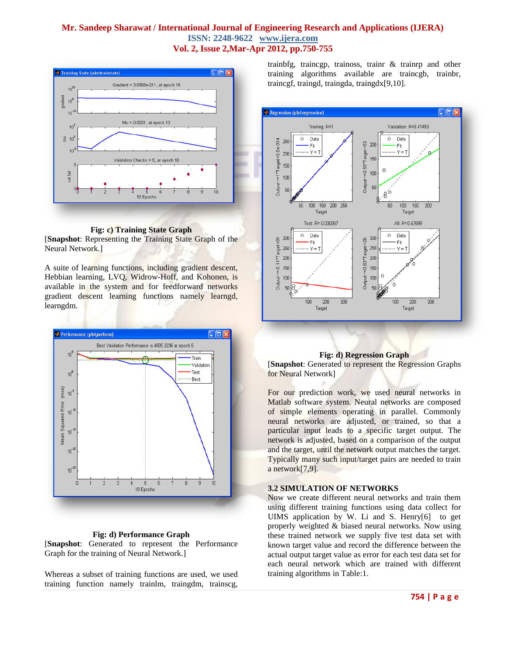

**Fig: c) Training State Graph** [**Snapshot**: Representing the Training State Graph of the Neural Network.]

A suite of learning functions, including gradient descent, Hebbian learning, LVQ, Widrow-Hoff, and Kohonen, is available in the system and for feedforward networks gradient descent learning functions namely learngd, learngdm.



#### **Fig: d) Performance Graph**

[**Snapshot**: Generated to represent the Performance Graph for the training of Neural Network.]

Whereas a subset of training functions are used, we used training function namely trainlm, traingdm, trainscg, trainbfg, traincgp, trainoss, trainr & trainrp and other training algorithms available are traincgb, trainbr, traincgf, traingd, traingda, traingdx[9,10].



## **Fig: d) Regression Graph**

[**Snapshot**: Generated to represent the Regression Graphs for Neural Network]

For our prediction work, we used neural networks in Matlab software system. Neural networks are composed of simple elements operating in parallel. Commonly neural networks are adjusted, or trained, so that a particular input leads to a specific target output. The network is adjusted, based on a comparison of the output and the target, until the network output matches the target. Typically many such input/target pairs are needed to train a network[7,9].

#### **3.2 SIMULATION OF NETWORKS**

Now we create different neural networks and train them using different training functions using data collect for UIMS application by W. Li and S. Henry[6] to get properly weighted & biased neural networks. Now using these trained network we supply five test data set with known target value and record the difference between the actual output target value as error for each test data set for each neural network which are trained with different training algorithms in Table:1.